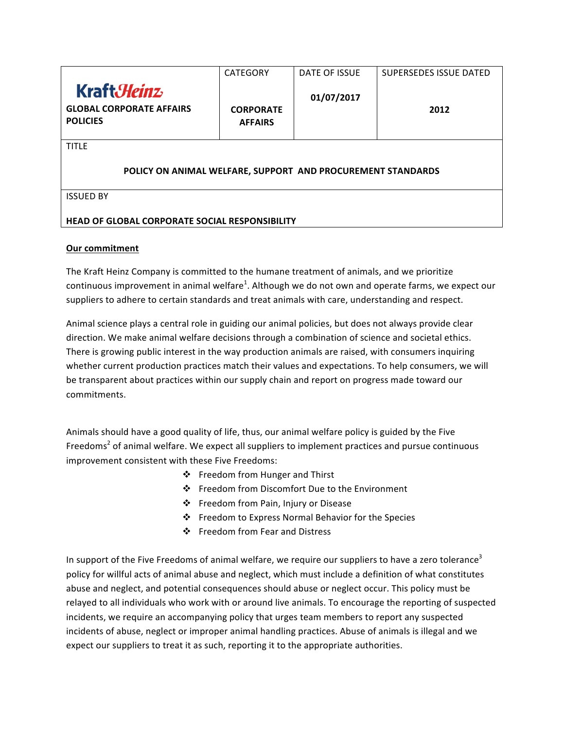|                                                                          | <b>CATEGORY</b>                    | DATE OF ISSUE | <b>SUPERSEDES ISSUE DATED</b> |  |
|--------------------------------------------------------------------------|------------------------------------|---------------|-------------------------------|--|
| Kraft <i>Heinz</i><br><b>GLOBAL CORPORATE AFFAIRS</b><br><b>POLICIES</b> | <b>CORPORATE</b><br><b>AFFAIRS</b> | 01/07/2017    | 2012                          |  |
| <b>TITLE</b>                                                             |                                    |               |                               |  |
| POLICY ON ANIMAL WELFARE, SUPPORT AND PROCUREMENT STANDARDS              |                                    |               |                               |  |
| <b>ISSUED BY</b>                                                         |                                    |               |                               |  |
|                                                                          |                                    |               |                               |  |
| <b>HEAD OF GLOBAL CORPORATE SOCIAL RESPONSIBILITY</b>                    |                                    |               |                               |  |

# **Our commitment**

The Kraft Heinz Company is committed to the humane treatment of animals, and we prioritize continuous improvement in animal welfare<sup>1</sup>. Although we do not own and operate farms, we expect our suppliers to adhere to certain standards and treat animals with care, understanding and respect.

Animal science plays a central role in guiding our animal policies, but does not always provide clear direction. We make animal welfare decisions through a combination of science and societal ethics. There is growing public interest in the way production animals are raised, with consumers inquiring whether current production practices match their values and expectations. To help consumers, we will be transparent about practices within our supply chain and report on progress made toward our commitments. 

Animals should have a good quality of life, thus, our animal welfare policy is guided by the Five Freedoms<sup>2</sup> of animal welfare. We expect all suppliers to implement practices and pursue continuous improvement consistent with these Five Freedoms:

- ❖ Freedom from Hunger and Thirst
- ❖ Freedom from Discomfort Due to the Environment
- ❖ Freedom from Pain, Injury or Disease
- ❖ Freedom to Express Normal Behavior for the Species
- ❖ Freedom from Fear and Distress

In support of the Five Freedoms of animal welfare, we require our suppliers to have a zero tolerance<sup>3</sup> policy for willful acts of animal abuse and neglect, which must include a definition of what constitutes abuse and neglect, and potential consequences should abuse or neglect occur. This policy must be relayed to all individuals who work with or around live animals. To encourage the reporting of suspected incidents, we require an accompanying policy that urges team members to report any suspected incidents of abuse, neglect or improper animal handling practices. Abuse of animals is illegal and we expect our suppliers to treat it as such, reporting it to the appropriate authorities.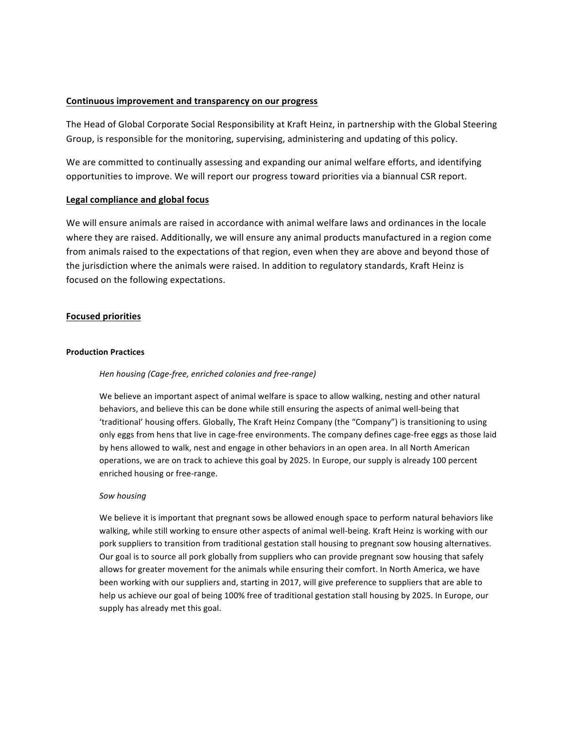## Continuous improvement and transparency on our progress

The Head of Global Corporate Social Responsibility at Kraft Heinz, in partnership with the Global Steering Group, is responsible for the monitoring, supervising, administering and updating of this policy.

We are committed to continually assessing and expanding our animal welfare efforts, and identifying opportunities to improve. We will report our progress toward priorities via a biannual CSR report.

## **Legal compliance and global focus**

We will ensure animals are raised in accordance with animal welfare laws and ordinances in the locale where they are raised. Additionally, we will ensure any animal products manufactured in a region come from animals raised to the expectations of that region, even when they are above and beyond those of the jurisdiction where the animals were raised. In addition to regulatory standards, Kraft Heinz is focused on the following expectations.

## **Focused priorities**

### **Production Practices**

## *Hen housing (Cage-free, enriched colonies and free-range)*

We believe an important aspect of animal welfare is space to allow walking, nesting and other natural behaviors, and believe this can be done while still ensuring the aspects of animal well-being that 'traditional' housing offers. Globally, The Kraft Heinz Company (the "Company") is transitioning to using only eggs from hens that live in cage-free environments. The company defines cage-free eggs as those laid by hens allowed to walk, nest and engage in other behaviors in an open area. In all North American operations, we are on track to achieve this goal by 2025. In Europe, our supply is already 100 percent enriched housing or free-range.

## *Sow housing*

We believe it is important that pregnant sows be allowed enough space to perform natural behaviors like walking, while still working to ensure other aspects of animal well-being. Kraft Heinz is working with our pork suppliers to transition from traditional gestation stall housing to pregnant sow housing alternatives. Our goal is to source all pork globally from suppliers who can provide pregnant sow housing that safely allows for greater movement for the animals while ensuring their comfort. In North America, we have been working with our suppliers and, starting in 2017, will give preference to suppliers that are able to help us achieve our goal of being 100% free of traditional gestation stall housing by 2025. In Europe, our supply has already met this goal.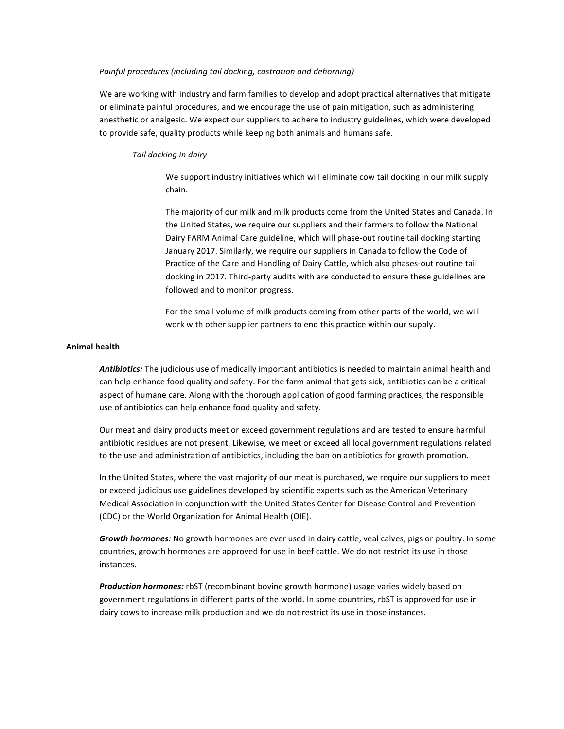#### *Painful procedures (including tail docking, castration and dehorning)*

We are working with industry and farm families to develop and adopt practical alternatives that mitigate or eliminate painful procedures, and we encourage the use of pain mitigation, such as administering anesthetic or analgesic. We expect our suppliers to adhere to industry guidelines, which were developed to provide safe, quality products while keeping both animals and humans safe.

#### *Tail docking in dairy*

We support industry initiatives which will eliminate cow tail docking in our milk supply chain. 

The majority of our milk and milk products come from the United States and Canada. In the United States, we require our suppliers and their farmers to follow the National Dairy FARM Animal Care guideline, which will phase-out routine tail docking starting January 2017. Similarly, we require our suppliers in Canada to follow the Code of Practice of the Care and Handling of Dairy Cattle, which also phases-out routine tail docking in 2017. Third-party audits with are conducted to ensure these guidelines are followed and to monitor progress.

For the small volume of milk products coming from other parts of the world, we will work with other supplier partners to end this practice within our supply.

#### **Animal health**

Antibiotics: The judicious use of medically important antibiotics is needed to maintain animal health and can help enhance food quality and safety. For the farm animal that gets sick, antibiotics can be a critical aspect of humane care. Along with the thorough application of good farming practices, the responsible use of antibiotics can help enhance food quality and safety.

Our meat and dairy products meet or exceed government regulations and are tested to ensure harmful antibiotic residues are not present. Likewise, we meet or exceed all local government regulations related to the use and administration of antibiotics, including the ban on antibiotics for growth promotion.

In the United States, where the vast majority of our meat is purchased, we require our suppliers to meet or exceed judicious use guidelines developed by scientific experts such as the American Veterinary Medical Association in conjunction with the United States Center for Disease Control and Prevention (CDC) or the World Organization for Animal Health (OIE).

Growth hormones: No growth hormones are ever used in dairy cattle, veal calves, pigs or poultry. In some countries, growth hormones are approved for use in beef cattle. We do not restrict its use in those instances. 

**Production hormones:** rbST (recombinant bovine growth hormone) usage varies widely based on government regulations in different parts of the world. In some countries, rbST is approved for use in dairy cows to increase milk production and we do not restrict its use in those instances.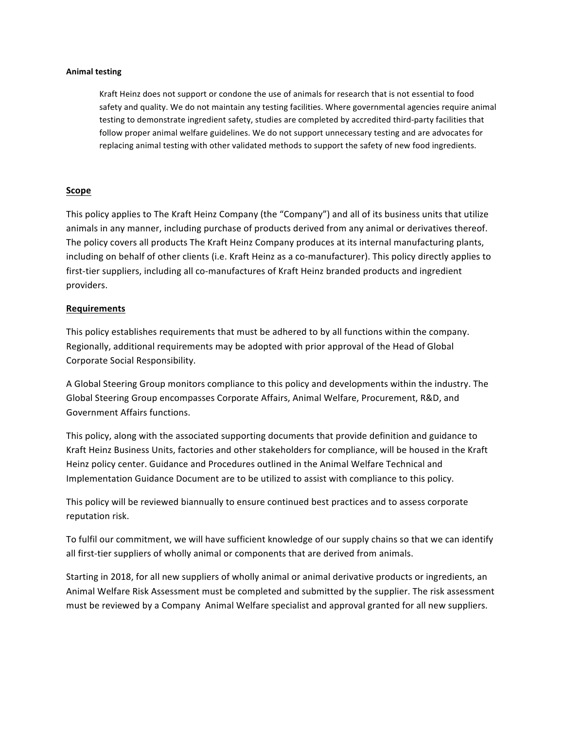### **Animal testing**

Kraft Heinz does not support or condone the use of animals for research that is not essential to food safety and quality. We do not maintain any testing facilities. Where governmental agencies require animal testing to demonstrate ingredient safety, studies are completed by accredited third-party facilities that follow proper animal welfare guidelines. We do not support unnecessary testing and are advocates for replacing animal testing with other validated methods to support the safety of new food ingredients.

## **Scope**

This policy applies to The Kraft Heinz Company (the "Company") and all of its business units that utilize animals in any manner, including purchase of products derived from any animal or derivatives thereof. The policy covers all products The Kraft Heinz Company produces at its internal manufacturing plants, including on behalf of other clients (i.e. Kraft Heinz as a co-manufacturer). This policy directly applies to first-tier suppliers, including all co-manufactures of Kraft Heinz branded products and ingredient providers.

## **Requirements**

This policy establishes requirements that must be adhered to by all functions within the company. Regionally, additional requirements may be adopted with prior approval of the Head of Global Corporate Social Responsibility.

A Global Steering Group monitors compliance to this policy and developments within the industry. The Global Steering Group encompasses Corporate Affairs, Animal Welfare, Procurement, R&D, and Government Affairs functions. 

This policy, along with the associated supporting documents that provide definition and guidance to Kraft Heinz Business Units, factories and other stakeholders for compliance, will be housed in the Kraft Heinz policy center. Guidance and Procedures outlined in the Animal Welfare Technical and Implementation Guidance Document are to be utilized to assist with compliance to this policy.

This policy will be reviewed biannually to ensure continued best practices and to assess corporate reputation risk.

To fulfil our commitment, we will have sufficient knowledge of our supply chains so that we can identify all first-tier suppliers of wholly animal or components that are derived from animals.

Starting in 2018, for all new suppliers of wholly animal or animal derivative products or ingredients, an Animal Welfare Risk Assessment must be completed and submitted by the supplier. The risk assessment must be reviewed by a Company Animal Welfare specialist and approval granted for all new suppliers.